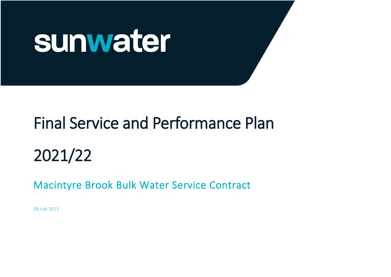

# Final Service and Performance Plan

2021/22

Macintyre Brook Bulk Water Service Contract

28 July 2021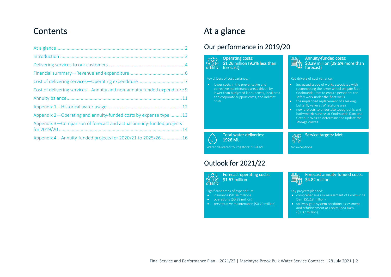# **Contents**

| Cost of delivering services-Annuity and non-annuity funded expenditure 9 |
|--------------------------------------------------------------------------|
|                                                                          |
|                                                                          |
| Appendix 2-Operating and annuity-funded costs by expense type 13         |
| Appendix 3—Comparison of forecast and actual annuity-funded projects     |
| Appendix 4-Annuity-funded projects for 2020/21 to 2025/26  16            |

# <span id="page-1-0"></span>At a glance

l,

j

l,

# Our performance in 2019/20

Operating costs: \$1.26 million (9.2% less than forecast)

#### Key drivers of cost variance:

lower than budgeted labour costs, local area and corporate support costs, and indirect

#### Annuity-funded costs: **BU** \$0.39 million (29.6% more than forecast)

#### Key drivers of cost variance:

- increased scope of works associated with reconnecting the lower wheel on gate 5 at Coolmunda Dam to ensure personnel can safely work under the float wells
- the unplanned replacement of a leaking butterfly valve at Whetstone weir

Service targets: Met

• new projects to undertake topographic and bathymetric surveys at Coolmunda Dam and Greenup Weir to determine and update the storage curves.

 Total water deliveries: (၂) 1926 ML Water delivered to irrigators: 1594 ML

### Outlook for 2021/22

Forecast operating costs: \$1.67 million ნ'ბ ბ <u>ណីឃ្លា</u>

Significant areas of expenditure: Key projects planned:

- insurance (\$0.34 million)
- operations (\$0.98 million)
- preventative maintenance (\$0.29 million).

#### Forecast annuity-funded costs: **■8** \$4.82 million

No exceptions

 $\circledcirc$ 

- comprehensive risk assessment of Coolmunda Dam (\$1.18 million)
- spillway gate system condition assessment and refurbishment at Coolmunda Dam (\$3.37 million).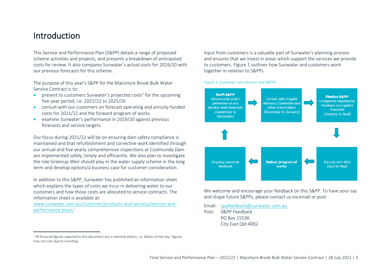# <span id="page-2-0"></span>Introduction

This Service and Performance Plan (S&PP) details a range of proposed scheme activities and projects, and presents a breakdown of anticipated costs for review. It also compares Sunwater's actual costs for 2019/20 with our previous forecasts for this scheme.

The purpose of this year's S&PP for the Macintyre Brook Bulk Water Service Contract is to:

- present to customers Sunwater's projected costs<sup>1</sup> for the upcoming five-year period, i.e. 2021/22 to 2025/26
- consult with our customers on forecast operating and annuity-funded costs for 2021/22 and the forward program of works
- examine Sunwater's performance in 2019/20 against previous forecasts and service targets.

Our focus during 2021/22 will be on ensuring dam safety compliance is maintained and that refurbishment and corrective work identified through our annual and five yearly comprehensive inspections at Coolmunda Dam are implemented safely, timely and efficiently. We also plan to investigate the role Greenup Weir should play in the water supply scheme in the long term and develop options/a business case for customer consideration.

In addition to this S&PP, Sunwater has published an information sheet which explains the types of costs we incur in delivering water to our customers and how those costs are allocated to service contracts. The information sheet is available at:

[www.sunwater.com.au/customer/products-and-services/service-and](https://www.sunwater.com.au/customer/products-and-services/service-and-performance-plans/)[performance-plans/](https://www.sunwater.com.au/customer/products-and-services/service-and-performance-plans/)

Input from customers is a valuable part of Sunwater's planning process and ensures that we invest in areas which support the services we provide to customers[. Figure 1](#page-2-1) outlines how Sunwater and customers work together in relation to S&PPs.

#### <span id="page-2-1"></span>*Figure 1: Customer consultation and S&PPs*



We welcome and encourage your feedback on this S&PP. To have your say and shape future S&PPs, please contact us via email or post:

Email: [sppfeedback@sunwater.com.au](mailto:sppfeedback@sunwater.com.au)

Post: S&PP Feedback PO Box 15536 City East Qld 4002

<sup>&</sup>lt;sup>1</sup> All financial figures reported in this document are in nominal dollars, i.e. dollars of the day. Figures may not sum due to rounding.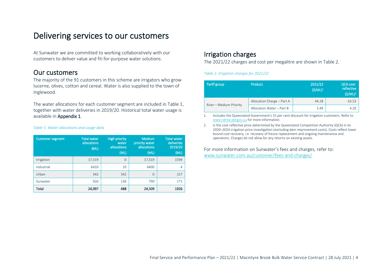# <span id="page-3-0"></span>Delivering services to our customers

At Sunwater we are committed to working collaboratively with our customers to deliver value and fit-for-purpose water solutions.

### Our customers

The majority of the 91 customers in this scheme are irrigators who grow lucerne, olives, cotton and cereal. Water is also supplied to the town of Inglewood.

The water allocations for each customer segment are included in [Table 1,](#page-3-1) together with water deliveries in 2019/20. Historical total water usage is available in [Appendix 1.](#page-11-0)

#### <span id="page-3-1"></span>*Table 1: Water allocations and usage data*

| <b>Customer segment</b> | <b>Total water</b><br>allocations<br>(ML) | <b>High priority</b><br>water<br>allocations<br>(ML) | <b>Medium</b><br>priority water<br>allocations<br>(ML) | <b>Total water</b><br>deliveries<br>2019/20<br>(ML) |
|-------------------------|-------------------------------------------|------------------------------------------------------|--------------------------------------------------------|-----------------------------------------------------|
| Irrigation              | 17,319                                    | $\Omega$                                             | 17,319                                                 | 1594                                                |
| Industrial              | 6410                                      | 10                                                   | 6400                                                   |                                                     |
| Urban                   | 342                                       | 342                                                  | $\Omega$                                               | 157                                                 |
| Sunwater                | 926                                       | 136                                                  | 790                                                    | 171                                                 |
| Total                   | 24,997                                    | 488                                                  | 24,509                                                 | 1926                                                |

### Irrigation charges

The 2021/22 charges and cost per megalitre are shown in [Table 2.](#page-3-2)

#### <span id="page-3-2"></span>*Table 2: Irrigation charges for 2021/22*

| Tariff group            | <b>Product</b>             | 2021/22<br>$(S/ML)^1$ | <b>QCA cost-</b><br>reflective<br>$(S/ML)^2$ |
|-------------------------|----------------------------|-----------------------|----------------------------------------------|
| River - Medium Priority | Allocation Charge - Part A | 44.28                 | 63.53                                        |
|                         | Allocation Water - Part B  | 3.49                  | 4.20                                         |

1. Includes the Queensland Government's 15 per cent discount for irrigation customers. Refer to [www.rdmw.qld.gov.au](http://www.rdmw.qld.gov.au/) for more information.

2. Is the cost-reflective price determined by the Queensland Competition Authority (QCA) in its 2020–2024 irrigation price investigation (excluding dam improvement costs). Costs reflect lower bound cost recovery, i.e. recovery of future replacement and ongoing maintenance and operations. Charges do not allow for any returns on existing assets.

For more information on Sunwater's fees and charges, refer to: [www.sunwater.com.au/customer/fees-and-charges/](https://www.sunwater.com.au/customer/fees-and-charges/)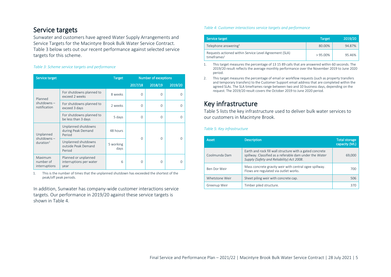# Service targets

Sunwater and customers have agreed Water Supply Arrangements and Service Targets for the Macintyre Brook Bulk Water Service Contract. [Table 3](#page-4-0) below sets out our recent performance against selected service targets for this scheme.

### <span id="page-4-0"></span>*Table 3: Scheme service targets and performance*

| Service target                         |                                                                                                                                                                                                                                                                                                                                                                                 | Target  |                                                                           |          |          |
|----------------------------------------|---------------------------------------------------------------------------------------------------------------------------------------------------------------------------------------------------------------------------------------------------------------------------------------------------------------------------------------------------------------------------------|---------|---------------------------------------------------------------------------|----------|----------|
|                                        |                                                                                                                                                                                                                                                                                                                                                                                 |         | 2017/18                                                                   | 2018/19  | 2019/20  |
| Planned                                | For shutdowns planned to<br>exceed 2 weeks                                                                                                                                                                                                                                                                                                                                      | 8 weeks | $\Omega$                                                                  | $\Omega$ | $\Omega$ |
| $shutdowns -$<br>notification          | For shutdowns planned to<br>2 weeks<br>$\Omega$<br>exceed 3 days<br>For shutdowns planned to<br>5 days<br>$\Omega$<br>be less than 3 days<br>Unplanned shutdowns<br>during Peak Demand<br>48 hours<br>Period<br>$\Omega$<br>Unplanned shutdowns<br>5 working<br>outside Peak Demand<br>days<br>Period<br>Planned or unplanned<br>interruptions per water<br>6<br>$\cap$<br>year | O       |                                                                           |          |          |
|                                        |                                                                                                                                                                                                                                                                                                                                                                                 |         | <b>Number of exceptions</b><br>$\Omega$<br>$\Omega$<br>$\Omega$<br>n<br>∩ |          |          |
| Unplanned                              |                                                                                                                                                                                                                                                                                                                                                                                 |         |                                                                           |          |          |
| $shutdowns -$<br>duration <sup>1</sup> |                                                                                                                                                                                                                                                                                                                                                                                 |         |                                                                           |          |          |
| Maximum<br>number of<br>interruptions  |                                                                                                                                                                                                                                                                                                                                                                                 |         |                                                                           |          |          |

1. This is the number of times that the unplanned shutdown has exceeded the shortest of the peak/off peak periods.

In addition, Sunwater has company-wide customer interactions service targets. Our performance in 2019/20 against these service targets is shown in [Table 4.](#page-4-1)

#### <span id="page-4-1"></span>*Table 4: Customer interactions service targets and performance*

| Service target                                                                     | <b>Target</b> | 2019/20 |
|------------------------------------------------------------------------------------|---------------|---------|
| Telephone answering <sup>1</sup>                                                   | 80.00%        | 94.87%  |
| Requests actioned within Service Level Agreement (SLA)<br>time frames <sup>2</sup> | $> 95.00\%$   | 95.46%  |

1. This target measures the percentage of 13 15 89 calls that are answered within 60 seconds. The 2019/20 result reflects the average monthly performance over the November 2019 to June 2020 period.

2. This target measures the percentage of email or workflow requests (such as property transfers and temporary transfers) to the Customer Support email address that are completed within the agreed SLAs. The SLA timeframes range between two and 10 business days, depending on the request. The 2019/20 result covers the October 2019 to June 2020 period.

# Key infrastructure

[Table 5](#page-4-2) lists the key infrastructure used to deliver bulk water services to our customers in Macintyre Brook.

### <span id="page-4-2"></span>*Table 5: Key infrastructure*

| Asset          | <b>Description</b>                                                                                                                                               | <b>Total storage</b><br>capacity (ML) |
|----------------|------------------------------------------------------------------------------------------------------------------------------------------------------------------|---------------------------------------|
| Coolmunda Dam  | Earth and rock fill wall structure with a gated concrete<br>spillway. Classified as a referable dam under the Water<br>Supply (Safety and Reliability) Act 2008. | 69,000                                |
| Ben Dor Weir   | Mass concrete gravity weir with central ogee spillway.<br>Flows are regulated via outlet works.                                                                  | 700                                   |
| Whetstone Weir | Sheet piling weir with concrete cap.                                                                                                                             | 506                                   |
| Greenup Weir   | Timber piled structure.                                                                                                                                          | 370                                   |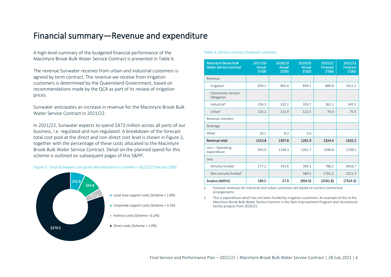# <span id="page-5-0"></span>Financial summary—Revenue and expenditure

A high-level summary of the budgeted financial performance of the Macintyre Brook Bulk Water Service Contract is presented in [Table 6.](#page-5-1)

The revenue Sunwater receives from urban and industrial customers is agreed by term contract. The revenue we receive from irrigation customers is determined by the Queensland Government, based on recommendations made by the QCA as part of its review of irrigation prices.

Sunwater anticipates an increase in revenue for the Macintyre Brook Bulk Water Service Contract in 2021/22.

In 2021/22, Sunwater expects to spend \$473 million across all parts of our business, i.e. regulated and non-regulated. A breakdown of the forecast total cost pool at the direct and non-direct cost level is shown i[n Figure 2,](#page-5-2) together with the percentage of these costs allocated to the Macintyre Brook Bulk Water Service Contract. Detail on the planned spend for this scheme is outlined on subsequent pages of this S&PP.

<span id="page-5-2"></span>*Figure 2: Total Sunwater cost pools and allocation to scheme—2021/22 forecast (\$M)*



#### <span id="page-5-1"></span>*Table 6: Service contract financial summary*

| <b>Macintyre Brook Bulk</b><br><b>Water Service Contract</b> | 2017/18<br><b>Actual</b><br>\$'000 | 2018/19<br><b>Actual</b><br>\$'000 | 2019/20<br><b>Actual</b><br>\$'000 | 2020/21<br>Forecast<br>\$'000 | 2021/22<br>Forecast<br>$\frac{1}{2}000$ |
|--------------------------------------------------------------|------------------------------------|------------------------------------|------------------------------------|-------------------------------|-----------------------------------------|
| Revenue                                                      |                                    |                                    |                                    |                               |                                         |
| Irrigation                                                   | 839.1                              | 845.4                              | 839.1                              | 889.0                         | 1011.2                                  |
| <b>Community Service</b><br>Obligation                       |                                    |                                    |                                    |                               |                                         |
| Industrial <sup>1</sup>                                      | 336.3                              | 332.2                              | 326.7                              | 361.1                         | 345.5                                   |
| Urban <sup>1</sup>                                           | 125.2                              | 121.9                              | 122.5                              | 74.3                          | 75.5                                    |
| Revenue transfers                                            | ۰                                  |                                    |                                    |                               |                                         |
| Drainage                                                     |                                    |                                    |                                    | ٠                             |                                         |
| Other                                                        | 10.1                               | 8.3                                | 3.6                                | ٠                             |                                         |
| Revenue total                                                | 1310.8                             | 1307.8                             | 1291.9                             | 1324.4                        | 1432.2                                  |
| Less - Operating<br>expenditure                              | 943.0                              | 1138.3                             | 1262.7                             | 1398.8                        | 1708.5                                  |
| Less                                                         |                                    |                                    |                                    |                               |                                         |
| Annuity-funded                                               | 177.2                              | 141.6                              | 394.1                              | 786.2                         | 4816.7                                  |
| Non-annuity funded <sup>2</sup>                              |                                    |                                    | 589.1                              | 1701.2                        | 2221.3                                  |
| Surplus (deficit)                                            | 190.5                              | 27.9                               | (954.0)                            | (2561.8)                      | (7314.3)                                |

1. Forecast revenues for industrial and urban customers are based on current contractual arrangements.

2. This is expenditure which has not been funded by irrigation customers. An example of this in the Macintyre Brook Bulk Water Service Contract is the Dam Improvement Program and recreational facility projects from 2020/21.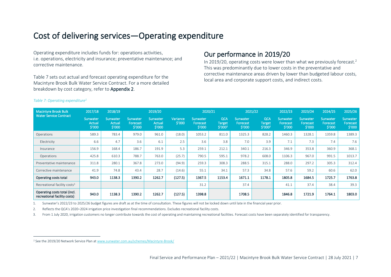# <span id="page-6-0"></span>Cost of delivering services—Operating expenditure

Operating expenditure includes funds for: operations activities, i.e. operations, electricity and insurance; preventative maintenance; and corrective maintenance.

[Table 7](#page-6-1) sets out actual and forecast operating expenditure for the Macintyre Brook Bulk Water Service Contract. For a more detailed breakdown by cost category, refer to **Appendix 2**.

### Our performance in 2019/20

In 2019/20, operating costs were lower than what we previously forecast.<sup>2</sup> This was predominantly due to lower costs in the preventative and corrective maintenance areas driven by lower than budgeted labour costs, local area and corporate support costs, and indirect costs.

| <b>Macintyre Brook Bulk</b>                                  | 2017/18                             | 2018/19                       |                                 | 2019/20                                |                    | 2020/21                        |                                        | 2021/22                        |                                             | 2022/23                        | 2023/24                        | 2024/25                         | 2025/26                        |
|--------------------------------------------------------------|-------------------------------------|-------------------------------|---------------------------------|----------------------------------------|--------------------|--------------------------------|----------------------------------------|--------------------------------|---------------------------------------------|--------------------------------|--------------------------------|---------------------------------|--------------------------------|
| <b>Water Service Contract</b>                                | Sunwater<br><b>Actual</b><br>\$'000 | Sunwater,<br>Actual<br>\$′000 | Sunwater,<br>Forecast<br>\$′000 | Sunwater<br>Actual<br>$\frac{$'}{000}$ | Variance<br>\$′000 | Sunwater<br>Forecast<br>\$′000 | <b>QCA</b><br><b>Target</b><br>\$'0002 | Sunwater<br>Forecast<br>\$'000 | QCA<br><b>Target</b><br>\$′000 <sup>2</sup> | Sunwater<br>Forecast<br>\$′000 | Sunwater<br>Forecast<br>\$'000 | 'Sunwater<br>Forecast<br>\$′000 | Sunwater<br>Forecast<br>\$′000 |
| Operations                                                   | 589.3                               | 783.4                         | 979.0                           | 961.0                                  | (18.0)             | 1053.2                         | 811.0                                  | 1325.3                         | 828.2                                       | 1460.3                         | 1328.1                         | 1359.8                          | 1389.3                         |
| Electricity                                                  | 6.6                                 | 4.7                           | 3.6                             | 6.1                                    | 2.5                | 3.6                            | 3.8                                    | 7.0                            | 3.9                                         | 7.1                            | 7.3                            | 7.4                             | 7.6                            |
| Insurance                                                    | 156.9                               | 168.4                         | 186.7                           | 191.9                                  | 5.3                | 259.1                          | 212.1                                  | 340.1                          | 216.3                                       | 346.9                          | 353.8                          | 360.9                           | 368.1                          |
| Operations                                                   | 425.8                               | 610.3                         | 788.7                           | 763.0                                  | (25.7)             | 790.5                          | 595.1                                  | 978.2                          | 608.0                                       | 1106.3                         | 967.0                          | 991.5                           | 1013.7                         |
| Preventative maintenance                                     | 311.8                               | 280.1                         | 367.8                           | 273.0                                  | (94.9)             | 259.3                          | 308.3                                  | 288.5                          | 315.1                                       | 288.0                          | 297.2                          | 305.3                           | 312.4                          |
| Corrective maintenance                                       | 41.9                                | 74.8                          | 43.4                            | 28.7                                   | (14.6)             | 55.1                           | 34.1                                   | 57.3                           | 34.8                                        | 57.6                           | 59.2                           | 60.6                            | 62.0                           |
| Operating costs total                                        | 943.0                               | 1138.3                        | 1390.2                          | 1262.7                                 | (127.5)            | 1367.5                         | 1153.4                                 | 1671.1                         | 1178.1                                      | 1805.8                         | 1684.5                         | 1725.7                          | 1763.8                         |
| Recreational facility costs <sup>3</sup>                     |                                     |                               |                                 |                                        |                    | 31.2                           |                                        | 37.4                           |                                             | 41.1                           | 37.4                           | 38.4                            | 39.3                           |
| Operating costs total (incl.<br>recreational facility costs) | 943.0                               | 1138.3                        | 1390.2                          | 1262.7                                 | (127.5)            | 1398.8                         |                                        | 1708.5                         |                                             | 1846.8                         | 1721.9                         | 1764.1                          | 1803.0                         |

### <span id="page-6-1"></span>*Table 7: Operating expenditure<sup>1</sup>*

1. Sunwater's 2022/23 to 2025/26 budget figures are draft as at the time of consultation. These figures will not be locked down until late in the financial year prior.

2. Reflects the QCA's 2020–2024 irrigation price investigation final recommendations. Excludes recreational facility costs.

3. From 1 July 2020, irrigation customers no longer contribute towards the cost of operating and maintaining recreational facilities. Forecast costs have been separately identified for transparency.

<sup>&</sup>lt;sup>2</sup> See the 2019/20 Network Service Plan a[t www.sunwater.com.au/schemes/Macintyre-Brook/](https://www.sunwater.com.au/schemes/Macintyre-Brook/)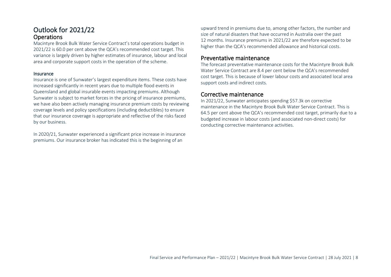### Outlook for 2021/22 **Operations**

Macintyre Brook Bulk Water Service Contract's total operations budget in 2021/22 is 60.0 per cent above the QCA's recommended cost target. This variance is largely driven by higher estimates of insurance, labour and local area and corporate support costs in the operation of the scheme.

### Insurance

Insurance is one of Sunwater's largest expenditure items. These costs have increased significantly in recent years due to multiple flood events in Queensland and global insurable events impacting premiums. Although Sunwater is subject to market forces in the pricing of insurance premiums, we have also been actively managing insurance premium costs by reviewing coverage levels and policy specifications (including deductibles) to ensure that our insurance coverage is appropriate and reflective of the risks faced by our business.

In 2020/21, Sunwater experienced a significant price increase in insurance premiums. Our insurance broker has indicated this is the beginning of an

upward trend in premiums due to, among other factors, the number and size of natural disasters that have occurred in Australia over the past 12 months. Insurance premiums in 2021/22 are therefore expected to be higher than the QCA's recommended allowance and historical costs.

### Preventative maintenance

The forecast preventative maintenance costs for the Macintyre Brook Bulk Water Service Contract are 8.4 per cent below the QCA's recommended cost target. This is because of lower labour costs and associated local area support costs and indirect costs.

### Corrective maintenance

In 2021/22, Sunwater anticipates spending \$57.3k on corrective maintenance in the Macintyre Brook Bulk Water Service Contract. This is 64.5 per cent above the QCA's recommended cost target, primarily due to a budgeted increase in labour costs (and associated non-direct costs) for conducting corrective maintenance activities.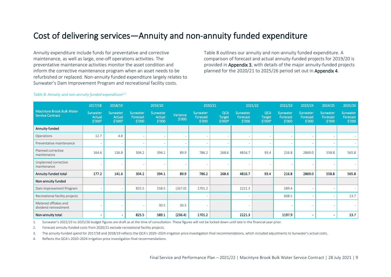# <span id="page-8-0"></span>Cost of delivering services—Annuity and non-annuity funded expenditure

Annuity expenditure include funds for preventative and corrective maintenance, as well as large, one-off operations activities. The preventative maintenance activities monitor the asset condition and inform the corrective maintenance program when an asset needs to be refurbished or replaced. Non-annuity funded expenditure largely relates to Sunwater's Dam Improvement Program and recreational facility costs.

[Table 8](#page-8-1) outlines our annuity and non-annuity funded expenditure. A comparison of forecast and actual annuity-funded projects for 2019/20 is provided i[n Appendix 3,](#page-13-0) with details of the major annuity-funded projects planned for the 2020/21 to 2025/26 period set out in [Appendix 4.](#page-15-0)

|                                                              | 2017/18                              | 2018/19                       |                                | 2019/20                      |                    |                                | 2020/21                                            |                                | 2021/22                                |                                | 2023/24                        | 2024/25                        | 2025/26                               |
|--------------------------------------------------------------|--------------------------------------|-------------------------------|--------------------------------|------------------------------|--------------------|--------------------------------|----------------------------------------------------|--------------------------------|----------------------------------------|--------------------------------|--------------------------------|--------------------------------|---------------------------------------|
| <b>Macintyre Brook Bulk Water</b><br><b>Service Contract</b> | Sunwater<br><b>Actual</b><br>\$′000³ | Sunwater<br>Actual<br>\$′000³ | Sunwater<br>Forecast<br>\$′000 | Sunwater<br>Actual<br>\$′000 | Variance<br>\$′000 | Sunwater<br>Forecast<br>\$′000 | <b>QCA</b><br><b>Target</b><br>\$′000 <sup>4</sup> | Sunwater<br>Forecast<br>\$′000 | <b>QCA</b><br><b>Target</b><br>\$'0004 | Sunwater<br>Forecast<br>\$′000 | Sunwater<br>Forecast<br>\$′000 | Sunwater<br>Forecast<br>\$′000 | <b>Sunwater</b><br>Forecast<br>\$′000 |
| Annuity-funded                                               |                                      |                               |                                |                              |                    |                                |                                                    |                                |                                        |                                |                                |                                |                                       |
| Operations                                                   | 12.7                                 | 4.8                           |                                |                              |                    |                                |                                                    |                                |                                        |                                |                                |                                |                                       |
| Preventative maintenance                                     |                                      |                               |                                |                              |                    |                                |                                                    |                                |                                        |                                |                                |                                |                                       |
| Planned corrective<br>maintenance                            | 164.6                                | 136.8                         | 304.2                          | 394.1                        | 89.9               | 786.2                          | 268.6                                              | 4816.7                         | 93.4                                   | 216.8                          | 2869.0                         | 558.8                          | 565.8                                 |
| Unplanned corrective<br>maintenance                          |                                      |                               |                                |                              |                    |                                |                                                    |                                |                                        |                                |                                |                                |                                       |
| Annuity-funded total                                         | 177.2                                | 141.6                         | 304.2                          | 394.1                        | 89.9               | 786.2                          | 268.6                                              | 4816.7                         | 93.4                                   | 216.8                          | 2869.0                         | 558.8                          | 565.8                                 |
| Non-annuity funded                                           |                                      |                               |                                |                              |                    |                                |                                                    |                                |                                        |                                |                                |                                |                                       |
| Dam Improvement Program                                      |                                      |                               | 825.5                          | 558.5                        | (267.0)            | 1701.2                         |                                                    | 2221.3                         |                                        | 589.4                          |                                |                                |                                       |
| Recreational facility projects                               |                                      |                               |                                |                              |                    |                                |                                                    |                                |                                        | 608.5                          |                                | $\overline{\phantom{a}}$       | 13.7                                  |
| Metered offtakes and<br>dividend reinvestment                |                                      |                               |                                | 30.5                         | 30.5               | $\overline{\phantom{a}}$       |                                                    |                                |                                        |                                |                                |                                |                                       |

#### <span id="page-8-1"></span>*Table 8: Annuity and non-annuity funded expenditure1,2*

Non-annuity total

1. Sunwater's 2022/23 to 2025/26 budget figures are draft as at the time of consultation. These figures will not be locked down until late in the financial year prior.

2. Forecast annuity-funded costs from 2020/21 exclude recreational facility projects.

3. The annuity-funded spend for 2017/18 and 2018/19 reflects the QCA's 2020–2024 irrigation price investigation final recommendations, which included adjustments to Sunwater's actual costs.

4. Reflects the QCA's 2020–2024 irrigation price investigation final recommendations.

- - 825.5 589.1 (236.4) 1701.2 2221.3 1197.9 - - 13.7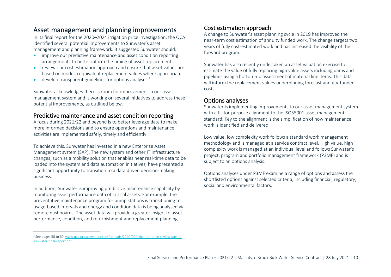### Asset management and planning improvements

In its final report for the 2020–2024 irrigation price investigation, the QCA identified several potential improvements to Sunwater's asset management and planning framework. It suggested Sunwater should:

- improve our predictive maintenance and asset condition reporting arrangements to better inform the timing of asset replacement
- review our cost estimation approach and ensure that asset values are based on modern equivalent replacement values where appropriate
- develop transparent guidelines for options analyses.<sup>3</sup>

Sunwater acknowledges there is room for improvement in our asset management system and is working on several initiatives to address these potential improvements, as outlined below.

### Predictive maintenance and asset condition reporting

A focus during 2021/22 and beyond is to better leverage data to make more informed decisions and to ensure operations and maintenance activities are implemented safely, timely and efficiently.

To achieve this, Sunwater has invested in a new Enterprise Asset Management system (SAP). The new system and other IT infrastructure changes, such as a mobility solution that enables near real-time data to be loaded into the system and data automation initiatives, have presented a significant opportunity to transition to a data driven decision-making business.

In addition, Sunwater is improving predictive maintenance capability by monitoring asset performance data of critical assets. For example, the preventative maintenance program for pump stations is transitioning to usage-based intervals and energy and condition data is being analysed via remote dashboards. The asset data will provide a greater insight to asset performance, condition, and refurbishment and replacement planning.

### Cost estimation approach

A change to Sunwater's asset planning cycle in 2019 has improved the near-term cost estimation of annuity funded work. The change targets two years of fully cost-estimated work and has increased the visibility of the forward program.

Sunwater has also recently undertaken an asset valuation exercise to estimate the value of fully replacing high value assets including dams and pipelines using a bottom-up assessment of material line items. This data will inform the replacement values underpinning forecast annuity-funded costs.

### Options analyses

Sunwater is implementing improvements to our asset management system with a fit-for-purpose alignment to the ISO55001 asset management standard. Key to the alignment is the simplification of how maintenance work is identified and delivered.

Low value, low complexity work follows a standard work management methodology and is managed at a service contract level. High value, high complexity work is managed at an individual level and follows Sunwater's project, program and portfolio management framework (P3MF) and is subject to an options analysis.

Options analyses under P3MF examine a range of options and assess the shortlisted options against selected criteria, including financial, regulatory, social and environmental factors.

<sup>3</sup> See pages 58 to 60[, www.qca.org.au/wp-content/uploads/2020/02/irrigation-price-review-part-b](https://www.qca.org.au/wp-content/uploads/2020/02/irrigation-price-review-part-b-sunwater-final-report.pdf)[sunwater-final-report.pdf](https://www.qca.org.au/wp-content/uploads/2020/02/irrigation-price-review-part-b-sunwater-final-report.pdf)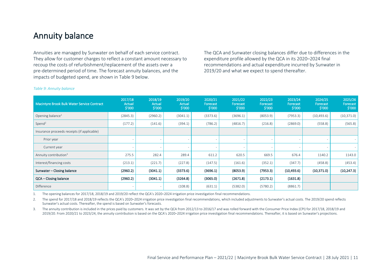# <span id="page-10-0"></span>Annuity balance

Annuities are managed by Sunwater on behalf of each service contract. They allow for customer charges to reflect a constant amount necessary to recoup the costs of refurbishment/replacement of the assets over a pre-determined period of time. The forecast annuity balances, and the impacts of budgeted spend, are shown in [Table 9](#page-10-1) below.

The QCA and Sunwater closing balances differ due to differences in the expenditure profile allowed by the QCA in its 2020–2024 final recommendations and actual expenditure incurred by Sunwater in 2019/20 and what we expect to spend thereafter.

| Macintyre Brook Bulk Water Service Contract | 2017/18<br>Actual<br>\$′000 | 2018/19<br>Actual<br>\$′000 | 2019/20<br>Actual<br>\$′000 | 2020/21<br>Forecast<br>\$′000 | 2021/22<br>Forecast<br>\$′000 | 2022/23<br>Forecast<br>\$'000 | 2023/24<br>Forecast<br>\$′000 | 2024/25<br>Forecast<br>\$′000 | 2025/26<br>Forecast<br>$\frac{1}{2}$ '000 |
|---------------------------------------------|-----------------------------|-----------------------------|-----------------------------|-------------------------------|-------------------------------|-------------------------------|-------------------------------|-------------------------------|-------------------------------------------|
| Opening balance <sup>1</sup>                | (2845.3)                    | (2960.2)                    | (3041.1)                    | (3373.6)                      | (3696.1)                      | (8053.9)                      | (7953.3)                      | (10, 493.6)                   | (10, 371.0)                               |
| Spend <sup>2</sup>                          | (177.2)                     | (141.6)                     | (394.1)                     | (786.2)                       | (4816.7)                      | (216.8)                       | (2869.0)                      | (558.8)                       | (565.8)                                   |
| Insurance proceeds receipts (if applicable) |                             |                             |                             |                               |                               |                               |                               |                               |                                           |
| Prior year                                  |                             |                             |                             |                               |                               | $\overline{\phantom{a}}$      |                               |                               |                                           |
| Current year                                |                             |                             |                             |                               |                               |                               |                               |                               |                                           |
| Annuity contribution <sup>3</sup>           | 275.5                       | 282.4                       | 289.4                       | 611.2                         | 620.5                         | 669.5                         | 676.4                         | 1140.2                        | 1143.0                                    |
| Interest/financing costs                    | (213.1)                     | (221.7)                     | (227.8)                     | (147.5)                       | (161.6)                       | (352.1)                       | (347.7)                       | (458.8)                       | (453.4)                                   |
| Sunwater - Closing balance                  | (2960.2)                    | (3041.1)                    | (3373.6)                    | (3696.1)                      | (8053.9)                      | (7953.3)                      | (10, 493.6)                   | (10, 371.0)                   | (10, 247.3)                               |
| QCA - Closing balance                       | (2960.2)                    | (3041.1)                    | (3264.8)                    | (3065.0)                      | (2671.8)                      | (2173.1)                      | (1631.8)                      |                               |                                           |
| Difference                                  |                             |                             | (108.8)                     | (631.1)                       | (5382.0)                      | (5780.2)                      | (8861.7)                      |                               |                                           |

#### <span id="page-10-1"></span>*Table 9: Annuity balance*

1. The opening balances for 2017/18, 2018/19 and 2019/20 reflect the QCA's 2020–2024 irrigation price investigation final recommendations.

2. The spend for 2017/18 and 2018/19 reflects the QCA's 2020–2024 irrigation price investigation final recommendations, which included adjustments to Sunwater's actual costs. The 2019/20 spend reflects Sunwater's actual costs. Thereafter, the spend is based on Sunwater's forecasts.

3. The annuity contribution is included in the prices paid by customers. It was set by the QCA from 2012/13 to 2016/17 and was rolled forward with the Consumer Price Index (CPI) for 2017/18, 2018/19 and 2019/20. From 2020/21 to 2023/24, the annuity contribution is based on the QCA's 2020–2024 irrigation price investigation final recommendations. Thereafter, it is based on Sunwater's projections.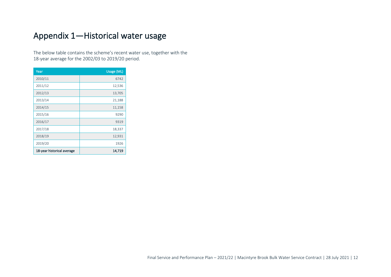# <span id="page-11-0"></span>Appendix 1—Historical water usage

The below table contains the scheme's recent water use, together with the 18-year average for the 2002/03 to 2019/20 period.

| Year                       | Usage (ML) |
|----------------------------|------------|
| 2010/11                    | 6742       |
| 2011/12                    | 12,536     |
| 2012/13                    | 13,705     |
| 2013/14                    | 21,188     |
| 2014/15                    | 11,158     |
| 2015/16                    | 9290       |
| 2016/17                    | 9319       |
| 2017/18                    | 18,337     |
| 2018/19                    | 12,931     |
| 2019/20                    | 1926       |
| 18-year historical average | 14,719     |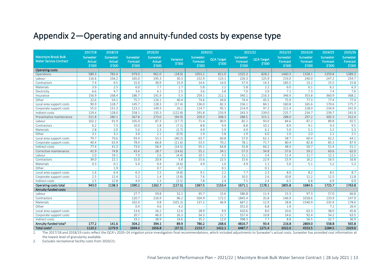# <span id="page-12-0"></span>Appendix 2—Operating and annuity-funded costs by expense type

|                                                              | 2017/18                             | 2018/19                             |                                | 2019/20                             |                    | 2020/21                        |                             | 2021/22                               |                             | 2022/23                        | 2023/24                        | 2024/25                        | 2025/26                        |
|--------------------------------------------------------------|-------------------------------------|-------------------------------------|--------------------------------|-------------------------------------|--------------------|--------------------------------|-----------------------------|---------------------------------------|-----------------------------|--------------------------------|--------------------------------|--------------------------------|--------------------------------|
| <b>Macintyre Brook Bulk</b><br><b>Water Service Contract</b> | Sunwater<br><b>Actual</b><br>\$'000 | Sunwater<br><b>Actual</b><br>\$'000 | Sunwater<br>Forecast<br>\$'000 | Sunwater<br><b>Actual</b><br>\$'000 | Variance<br>\$'000 | Sunwater<br>Forecast<br>\$'000 | <b>QCA Target</b><br>\$'000 | <b>Sunwater</b><br>Forecast<br>\$'000 | <b>QCA Target</b><br>\$'000 | Sunwater<br>Forecast<br>\$'000 | Sunwater<br>Forecast<br>\$'000 | Sunwater<br>Forecast<br>\$'000 | Sunwater<br>Forecast<br>\$'000 |
| <b>Operating costs</b>                                       |                                     |                                     |                                |                                     |                    |                                |                             |                                       |                             |                                |                                |                                |                                |
| Operations                                                   | 589.3                               | 783.4                               | 979.0                          | 961.0                               | (18.0)             | 1053.2                         | 811.0                       | 1325.3                                | 828.2                       | 1460.3                         | 1328.1                         | 1359.8                         | 1389.3                         |
| Labour                                                       | 116.6                               | 156.2                               | 165.0                          | 195.3                               | 30.3               | 152.9                          | 123.1                       | 226.3                                 | 125.9                       | 233.0                          | 240.0                          | 247.2                          | 254.7                          |
| Contractors                                                  | 7.4                                 | 9.5                                 | 15.0                           | 30.9                                | 15.9               | 14.6                           | 14.0                        | 57.4                                  | 14.3                        | 183.5                          | 15.2                           | 15.5                           | 15.8                           |
| Materials                                                    | 3.9                                 | 2.5                                 | 6.0                            | 7.7                                 | 1.7                | 5.8                            | 2.2                         | 5.8                                   | 2.2                         | 6.0                            | 6.1                            | 6.2                            | 6.3                            |
| Electricity                                                  | 6.6                                 | 4.7                                 | 3.6                            | 6.1                                 | 2.5                | 3.6                            | 3.8                         | 7.0                                   | 3.9                         | 7.1                            | 7.3                            | 7.4                            | 7.6                            |
| Insurance                                                    | 156.9                               | 168.4                               | 186.7                          | 191.9                               | 5.3                | 259.1                          | 212.1                       | 340.1                                 | 216.3                       | 346.9                          | 353.8                          | 360.9                          | 368.1                          |
| Other                                                        | 22.6                                | 54.1                                | 75.7                           | 116.1                               | 40.4               | 74.6                           | 44.6                        | 74.4                                  | 45.5                        | 75.9                           | 77.3                           | 77.4                           | 77.4                           |
| Local area support costs                                     | 90.9                                | 128.7                               | 145.7                          | 128.3                               | (17.4)             | 136.0                          | 82.3                        | 156.1                                 | 84.1                        | 160.8                          | 165.6                          | 170.6                          | 175.7                          |
| Corporate support costs                                      | 55.0                                | 131.3                               | 123.2                          | 149.3                               | 26.1               | 114.7                          | 95.1                        | 214.9                                 | 97.2                        | 221.4                          | 228.0                          | 234.9                          | 241.9                          |
| Indirect costs                                               | 129.4                               | 128.0                               | 258.1                          | 135.3                               | (122.8)            | 291.8                          | 233.9                       | 243.3                                 | 239.0                       | 225.7                          | 234.7                          | 239.7                          | 241.9                          |
| Preventative maintenance                                     | 311.8                               | 280.1                               | 367.8                          | 273.0                               | (94.9)             | 259.3                          | 308.3                       | 288.5                                 | 315.1                       | 288.0                          | 297.2                          | 305.3                          | 312.4                          |
| Labour                                                       | 102.2                               | 91.9                                | 105.0                          | 87.3                                | (17.7)             | 71.4                           | 90.9                        | 82.2                                  | 93.0                        | 84.6                           | 87.2                           | 89.8                           | 92.5                           |
| Contractors                                                  | 6.2                                 | 7.3                                 | 10.0                           | 2.8                                 | (7.2)              | 8.8                            | 9.9                         | 8.8                                   | 10.1                        | 8.9                            | 9.1                            | 9.3                            | 9.5                            |
| Materials                                                    | 2.8                                 | 2.0                                 | 5.0                            | 2.3                                 | (2.7)              | 4.9                            | 5.9                         | 4.9                                   | 6.1                         | 5.0                            | 5.1                            | 5.2                            | 5.3                            |
| Other                                                        | 3.1                                 | 3.1                                 | 3.0                            | 2.1                                 | (0.9)              | 1.9                            | 5.8                         | 1.9                                   | 6.0                         | 2.0                            | 2.0                            | 2.1                            | 2.1                            |
| Local area support costs                                     | 79.7                                | 70.6                                | 93.4                           | 53.2                                | (40.2)             | 63.7                           | 60.8                        | 57.0                                  | 62.1                        | 58.7                           | 60.4                           | 62.2                           | 64.1                           |
| Corporate support costs                                      | 40.4                                | 63.9                                | 78.4                           | 66.8                                | (11.6)             | 53.5                           | 70.2                        | 78.1                                  | 71.7                        | 80.4                           | 82.8                           | 85.3                           | 87.9                           |
| Indirect costs                                               | 77.4                                | 41.3                                | 73.0                           | 58.4                                | (14.5)             | 55.1                           | 64.8                        | 55.8                                  | 66.2                        | 48.4                           | 50.7                           | 51.4                           | 51.1                           |
| Corrective maintenance                                       | 41.9                                | 74.8                                | 43.4                           | 28.7                                | (14.6)             | 55.1                           | 34.1                        | 57.3                                  | 34.8                        | 57.6                           | 59.2                           | 60.6                           | 62.0                           |
| Labour                                                       | 2.0                                 | 19.1                                | 7.0                            | 2.6                                 | (4.4)              | 10.1                           | 3.3                         | 11.1                                  | 3.4                         | 11.4                           | 11.7                           | 12.1                           | 12.5                           |
| Contractors                                                  | 34.0                                | 22.1                                | 15.0                           | 20.8                                | 5.8                | 15.6                           | 22.5                        | 15.6                                  | 22.9                        | 15.9                           | 16.2                           | 16.5                           | 16.8                           |
| Materials                                                    | 0.3                                 | 0.1                                 | 5.0                            | 0.4                                 | (4.6)              | 4.9                            | 1.0                         | 4.9                                   | 1.1                         | 5.0                            | 5.1                            | 5.2                            | 5.3                            |
| Other                                                        | $\sim$                              | 1.9                                 |                                | 0.7                                 | 0.7                | $\sim$                         | 0.1                         | $\sim$                                | 0.1                         |                                |                                |                                |                                |
| Local area support costs                                     | 1.6                                 | 6.4                                 | 6.3                            | 1.5                                 | (4.8)              | 9.1                            | 2.2                         | 7.7                                   | 2.3                         | 8.0                            | 8.2                            | 8.5                            | 8.7                            |
| Corporate support costs                                      | 2.5                                 | 12.4                                | 5.2                            | 1.4                                 | (3.8)              | 7.6                            | 2.6                         | 10.5                                  | 2.6                         | 10.8                           | 11.2                           | 11.5                           | 11.8                           |
| Indirect costs                                               | 1.5                                 | 12.8                                | 4.9                            | 1.3                                 | (3.5)              | 7.8                            | 2.4                         | 7.5                                   | 2.4                         | 6.5                            | 6.8                            | 6.9                            | 6.9                            |
| Operating costs total                                        | 943.0                               | 1138.3                              | 1390.2                         | 1262.7                              | (127.5)            | 1367.5                         | 1153.4                      | 1671.1                                | 1178.1                      | 1805.8                         | 1684.5                         | 1725.7                         | 1763.8                         |
| Annuity-funded costs                                         |                                     |                                     |                                |                                     |                    |                                |                             |                                       |                             |                                |                                |                                |                                |
| Labour                                                       |                                     |                                     | 27.7                           | 59.8                                | 32.2               | 45.7                           | 15.6                        | 586.8                                 | 11.4                        | 15.3                           | 97.3                           | 57.0                           | 66.8                           |
| Contractors                                                  |                                     |                                     | 120.7                          | 216.9                               | 96.2               | 504.9                          | 172.5                       | 1845.4                                | 35.8                        | 146.9                          | 1018.6                         | 133.9                          | 147.9                          |
| Materials                                                    |                                     |                                     | 102.0                          | 0.8                                 | (101.2)            | 137.2                          | 46.9                        | 667.2                                 | 12.9                        | 18.8                           | 1540.9                         | 235.9                          | 178.6                          |
| Other                                                        |                                     |                                     | 0.4                            | 4.6                                 | 4.2                |                                |                             | 351.0                                 | 6.8                         | 1.9                            |                                | 7.1                            | 26.4                           |
| Local area support costs                                     |                                     |                                     | 13.6                           | 26.2                                | 12.6               | 28.9                           | 9.9                         | 410.6                                 | 8.0                         | 10.6                           | 63.3                           | 38.0                           | 45.8                           |
| Corporate support costs                                      |                                     |                                     | 20.7                           | 46.9                                | 26.3               | 34.3                           | 11.7                        | 557.4                                 | 10.8                        | 14.6                           | 92.4                           | 54.2                           | 63.5                           |
| Indirect costs                                               |                                     |                                     | 19.2                           | 38.9                                | 19.6               | 35.2                           | 12.0                        | 398.3                                 | 7.7                         | 8.8                            | 56.5                           | 32.7                           | 36.9                           |
| Annuity-funded total <sup>1</sup>                            | 177.2                               | 141.6                               | 304.2                          | 394.1                               | 89.9               | 786.2                          | 268.6                       | 4816.7                                | 93.4                        | 216.8                          | 2869.0                         | 558.8                          | 565.8                          |
| Total costs <sup>2</sup>                                     | 1120.2                              | 1279.9                              | 1694.4                         | 1656.8                              | (37.5)             | 2153.7                         | 1422.1                      | 6487.7                                | 1271.4                      | 2022.6                         | 4553.5                         | 2284.5                         | 2329.6                         |

1. The 2017/18 and 2018/19 costs reflect the QCA's 2020–24 irrigation price investigation final recommendations, which included adjustments to Sunwater's actual costs. Sunwater has provided cost information at the lowest level of granularity available.

2. Excludes recreational facility costs from 2020/21.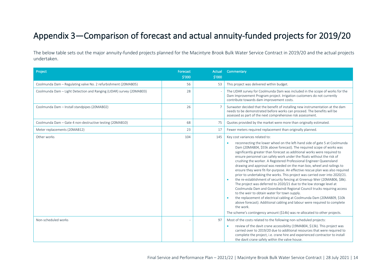# <span id="page-13-0"></span>Appendix 3—Comparison of forecast and actual annuity-funded projects for 2019/20

The below table sets out the major annuity-funded projects planned for the Macintyre Brook Bulk Water Service Contract in 2019/20 and the actual projects undertaken.

| Project                                                              | Forecast<br>\$'000 | Actual<br>\$'000 | Commentary                                                                                                                                                                                                                                                                                                                                                                                                                                                                                                                                                                                                                                                                                                                                                                                                                                                                                                                                                                                                                                                                                                                                                                             |
|----------------------------------------------------------------------|--------------------|------------------|----------------------------------------------------------------------------------------------------------------------------------------------------------------------------------------------------------------------------------------------------------------------------------------------------------------------------------------------------------------------------------------------------------------------------------------------------------------------------------------------------------------------------------------------------------------------------------------------------------------------------------------------------------------------------------------------------------------------------------------------------------------------------------------------------------------------------------------------------------------------------------------------------------------------------------------------------------------------------------------------------------------------------------------------------------------------------------------------------------------------------------------------------------------------------------------|
| Coolmunda Dam - Regulating valve No. 2 refurbishment (20MAB05)       | 56                 | 53               | This project was delivered within budget.                                                                                                                                                                                                                                                                                                                                                                                                                                                                                                                                                                                                                                                                                                                                                                                                                                                                                                                                                                                                                                                                                                                                              |
| Coolmunda Dam - Light Detection and Ranging (LIDAR) survey (20MAB03) | 28                 |                  | The LIDAR survey for Coolmunda Dam was included in the scope of works for the<br>Dam Improvement Program project. Irrigation customers do not currently<br>contribute towards dam improvement costs.                                                                                                                                                                                                                                                                                                                                                                                                                                                                                                                                                                                                                                                                                                                                                                                                                                                                                                                                                                                   |
| Coolmunda Dam - Install standpipes (20MAB02)                         | 26                 |                  | Sunwater decided that the benefit of installing new instrumentation at the dam<br>needs to be demonstrated before works can proceed. The benefits will be<br>assessed as part of the next comprehensive risk assessment.                                                                                                                                                                                                                                                                                                                                                                                                                                                                                                                                                                                                                                                                                                                                                                                                                                                                                                                                                               |
| Coolmunda Dam - Gate 4 non-destructive testing (20MAB10)             | 68                 | 75               | Quotes provided by the market were more than originally estimated.                                                                                                                                                                                                                                                                                                                                                                                                                                                                                                                                                                                                                                                                                                                                                                                                                                                                                                                                                                                                                                                                                                                     |
| Meter replacements (20MAB12)                                         | 23                 | 17               | Fewer meters required replacement than originally planned.                                                                                                                                                                                                                                                                                                                                                                                                                                                                                                                                                                                                                                                                                                                                                                                                                                                                                                                                                                                                                                                                                                                             |
| Other works                                                          | 104                | 145              | Key cost variances related to:<br>reconnecting the lower wheel on the left-hand side of gate 5 at Coolmunda<br>Dam (20MAB04, \$55k above forecast). The required scope of works was<br>significantly greater than forecast as additional works were required to<br>ensure personnel can safely work under the floats without the risk of<br>crushing the worker. A Registered Professional Engineer Queensland<br>drawing and approval was needed on the man box, wheel and railings to<br>ensure they were fit-for-purpose. An effective rescue plan was also required<br>prior to undertaking the works. This project was carried over into 2020/21.<br>the re-establishment of security fencing at Greenup Weir (20MAB06, \$8k).<br>The project was deferred to 2020/21 due to the low storage level at<br>Coolmunda Dam and Goondiwindi Regional Council trucks requiring access<br>to the weir to obtain water for town supply.<br>the replacement of electrical cabling at Coolmunda Dam (20MAB09, \$10k<br>above forecast). Additional cabling and labour were required to complete<br>the work.<br>The scheme's contingency amount (\$14k) was re-allocated to other projects. |
| Non-scheduled works                                                  |                    | 97               | Most of the costs related to the following non-scheduled projects:<br>review of the davit crane accessibility (19MAB04, \$13k). This project was<br>$\bullet$<br>carried over to 2019/20 due to additional resources that were required to<br>complete the project, i.e. crane hire and experienced contractor to install<br>the davit crane safely within the valve house.                                                                                                                                                                                                                                                                                                                                                                                                                                                                                                                                                                                                                                                                                                                                                                                                            |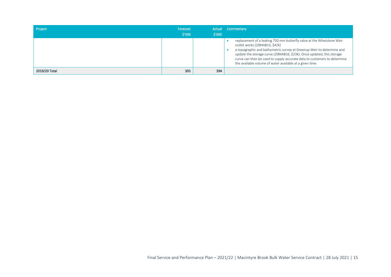| Project       | Forecast<br>\$'000 | \$'000 | Actual Commentary                                                                                                                                                                                                                                                                                                                                                                                |
|---------------|--------------------|--------|--------------------------------------------------------------------------------------------------------------------------------------------------------------------------------------------------------------------------------------------------------------------------------------------------------------------------------------------------------------------------------------------------|
|               |                    |        | replacement of a leaking 750 mm butterfly valve at the Whetstone Weir<br>outlet works (20MAB13, \$42k)<br>a topographic and bathymetric survey at Greenup Weir to determine and<br>update the storage curve (20MAB16, \$23k). Once updated, this storage<br>curve can then be used to supply accurate data to customers to determine<br>the available volume of water available at a given time. |
| 2019/20 Total | 305                | 394    |                                                                                                                                                                                                                                                                                                                                                                                                  |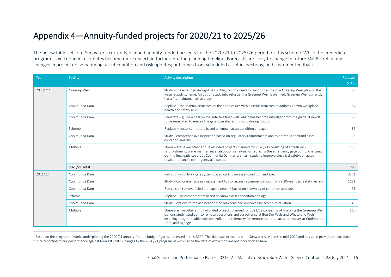# <span id="page-15-0"></span>Appendix 4—Annuity-funded projects for 2020/21 to 2025/26

The below table sets out Sunwater's currently planned annuity-funded projects for the 2020/21 to 2025/26 period for this scheme. While the immediate program is well defined, estimates become more uncertain further into the planning timeline. Forecasts are likely to change in future S&PPs, reflecting changes in project delivery timing; asset condition and risk updates; outcomes from scheduled asset inspections; and customer feedback.

| Year     | <b>Facility</b> | <b>Activity description</b>                                                                                                                                                                                                                                                                                                                                  | <b>Forecast</b><br>\$′000 |
|----------|-----------------|--------------------------------------------------------------------------------------------------------------------------------------------------------------------------------------------------------------------------------------------------------------------------------------------------------------------------------------------------------------|---------------------------|
| 2020/214 | Greenup Weir    | Study – the extended drought has highlighted the need to re-consider the role Greenup Weir plays in the<br>water supply scheme. An option study into refurbishing Greenup Weir is planned. Greenup Weir currently<br>has a 'no maintenance' strategy.                                                                                                        |                           |
|          | Coolmunda Dam   | Replace - the manual actuators on the cone values with electric actuators to address known workplace<br>health and safety risks.                                                                                                                                                                                                                             | 57                        |
|          | Coolmunda Dam   | Reinstate – guide wheel on the gate five float well, which has become dislodged from the guide. It needs<br>to be reinstated to ensure the gate operates as it should during floods.                                                                                                                                                                         | 99                        |
|          | Scheme          | Replace - customer meters based on known asset condition and age.                                                                                                                                                                                                                                                                                            | 36                        |
|          | Coolmunda Dam   | Study - comprehensive inspection based on regulatory requirements and to better understand asset<br>condition and risk.                                                                                                                                                                                                                                      | 135                       |
|          | Multiple        | There were seven other annuity-funded projects planned for 2020/21 consisting of a trash rack<br>refurbishment; crane maintenance; an options analysis for replacing the emergency gate pump; changing<br>out the final gatic covers at Coolmunda Dam; an arc flash study to improve electrical safety; an asset<br>revaluation and a contingency allowance. | 158                       |
|          | 2020/21 Total   |                                                                                                                                                                                                                                                                                                                                                              | 785                       |
| 2021/22  | Coolmunda Dam   | Refurbish - spillway gate system based on known asset condition and age.                                                                                                                                                                                                                                                                                     | 3371                      |
|          | Coolmunda Dam   | Study - comprehensive risk assessment to risk assess recommendations from a 20-year dam safety review.                                                                                                                                                                                                                                                       | 1181                      |
|          | Coolmunda Dam   | Refurbish – remove failed drainage pipework based on known asset condition and age.                                                                                                                                                                                                                                                                          | 61                        |
|          | Scheme          | Replace – customer meters based on known asset condition and age.                                                                                                                                                                                                                                                                                            | 50                        |
|          | Coolmunda Dam   | Study – options to replace header pipe bulkhead and improve fine screen installation.                                                                                                                                                                                                                                                                        | 43                        |
|          | Multiple        | There are five other annuity-funded projects planned for 2021/22 consisting of finalising the Greenup Weir<br>options study; studies into remote operations and surveillance at Ben Dor Weir and Whetstone Weir;<br>installing programmable logic controller and telemetry for remote operated actuated valves at Coolmunda<br>Dam; and signage.             | 110                       |

<sup>4</sup> Based on the program of works underpinning the 2020/21 annuity-funded budget figures presented in this S&PP. This data was extracted from Sunwater's systems in mid-2020 and has been provided to facilitate future reporting of our performance against forecast costs. Changes to the 2020/21 program of works since the date of extraction are not incorporated here.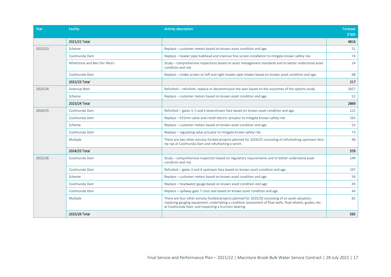| Year    | <b>Facility</b>             | <b>Activity description</b>                                                                                                                                                                                                                                              | Forecast<br>\$′000 |
|---------|-----------------------------|--------------------------------------------------------------------------------------------------------------------------------------------------------------------------------------------------------------------------------------------------------------------------|--------------------|
|         | 2021/22 Total               |                                                                                                                                                                                                                                                                          | 4816               |
| 2022/23 | Scheme                      | Replace – customer meters based on known asset condition and age.                                                                                                                                                                                                        | 51                 |
|         | Coolmunda Dam               | Replace – header pipe bulkhead and improve fine screen installation to mitigate known safety risk.                                                                                                                                                                       | 74                 |
|         | Whetstone and Ben Dor Weirs | Study - comprehensive inspections based on asset management standards and to better understand asset<br>condition and risk.                                                                                                                                              | 24                 |
|         | Coolmunda Dam               | Replace – intake screen on left and right header pipe intakes based on known asset condition and age.                                                                                                                                                                    | 68                 |
|         | 2022/23 Total               |                                                                                                                                                                                                                                                                          | 217                |
| 2023/24 | Greenup Weir                | Refurbish – refurbish, replace or decommission the weir based on the outcomes of the options study.                                                                                                                                                                      | 2817               |
|         | Scheme                      | Replace - customer meters based on known asset condition and age.                                                                                                                                                                                                        | 52                 |
|         | 2023/24 Total               |                                                                                                                                                                                                                                                                          | 2869               |
| 2024/25 | Coolmunda Dam               | Refurbish – gates 3, 5 and 6 downstream face based on known asset condition and age.                                                                                                                                                                                     | 222                |
|         | Coolmunda Dam               | Replace – 915mm valve and install electric actuator to mitigate known safety risk.                                                                                                                                                                                       | 163                |
|         | Scheme                      | Replace – customer meters based on known asset condition and age.                                                                                                                                                                                                        | 53                 |
|         | Coolmunda Dam               | Replace - regulating valve actuator to mitigate known safety risk.                                                                                                                                                                                                       | 73                 |
|         | Multiple                    | There are two other annuity-funded projects planned for 2024/25 consisting of refurbishing upstream face<br>rip rap at Coolmunda Dam and refurbishing a winch.                                                                                                           | 48                 |
|         | 2024/25 Total               |                                                                                                                                                                                                                                                                          | 559                |
| 2025/26 | Coolmunda Dam               | Study – comprehensive inspection based on regulatory requirements and to better understand asset<br>condition and risk.                                                                                                                                                  | 149                |
|         | Coolmunda Dam               | Refurbish – gates 3 and 4 upstream face based on known asset condition and age.                                                                                                                                                                                          | 197                |
|         | Scheme                      | Replace - customer meters based on known asset condition and age.                                                                                                                                                                                                        | 54                 |
|         | Coolmunda Dam               | Replace – headwater gauge based on known asset condition and age.                                                                                                                                                                                                        | 39                 |
|         | Coolmunda Dam               | Replace - spillway gate 7 crest seal based on known asset condition and age.                                                                                                                                                                                             | 44                 |
|         | Multiple                    | There are four other annuity-funded projects planned for 2025/26 consisting of an asset valuation;<br>replacing gauging equipment; undertaking a condition assessment of float wells, float wheels, guides, etc.<br>at Coolmunda Dam; and inspecting a trunnion bearing. | 82                 |
|         | 2025/26 Total               |                                                                                                                                                                                                                                                                          | 565                |